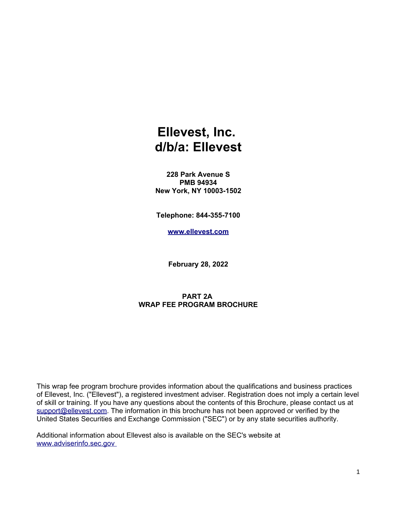# **Ellevest, Inc. d/b/a: Ellevest**

**228 Park Avenue S PMB 94934 New York, NY 10003-1502**

**Telephone: 844-355-7100**

**[www.ellevest.com](http://www.ellevest.com/)**

**February 28, 2022**

#### **PART 2A WRAP FEE PROGRAM BROCHURE**

This wrap fee program brochure provides information about the qualifications and business practices of Ellevest, Inc. ("Ellevest"), a registered investment adviser. Registration does not imply a certain level of skill or training. If you have any questions about the contents of this Brochure, please contact us at [support@ellevest.com.](mailto:support@ellevest.com) The information in this brochure has not been approved or verified by the United States Securities and Exchange Commission ("SEC") or by any state securities authority.

Additional information about Ellevest also is available on the SEC's website at [www.adviserinfo.sec.gov](http://www.adviserinfo.sec.gov/)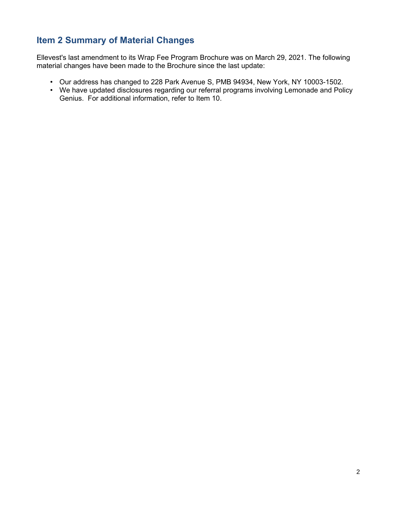### **Item 2 Summary of Material Changes**

Ellevest's last amendment to its Wrap Fee Program Brochure was on March 29, 2021. The following material changes have been made to the Brochure since the last update:

- Our address has changed to 228 Park Avenue S, PMB 94934, New York, NY 10003-1502.
- We have updated disclosures regarding our referral programs involving Lemonade and Policy Genius. For additional information, refer to Item 10.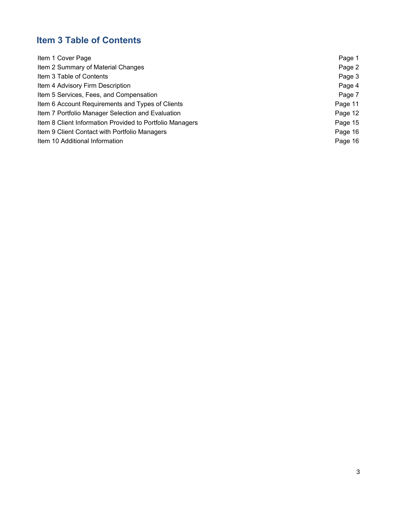## **Item 3 Table of Contents**

| Item 1 Cover Page                                        | Page 1  |
|----------------------------------------------------------|---------|
| Item 2 Summary of Material Changes                       | Page 2  |
| Item 3 Table of Contents                                 | Page 3  |
| Item 4 Advisory Firm Description                         | Page 4  |
| Item 5 Services, Fees, and Compensation                  | Page 7  |
| Item 6 Account Requirements and Types of Clients         | Page 11 |
| Item 7 Portfolio Manager Selection and Evaluation        | Page 12 |
| Item 8 Client Information Provided to Portfolio Managers | Page 15 |
| Item 9 Client Contact with Portfolio Managers            | Page 16 |
| Item 10 Additional Information                           | Page 16 |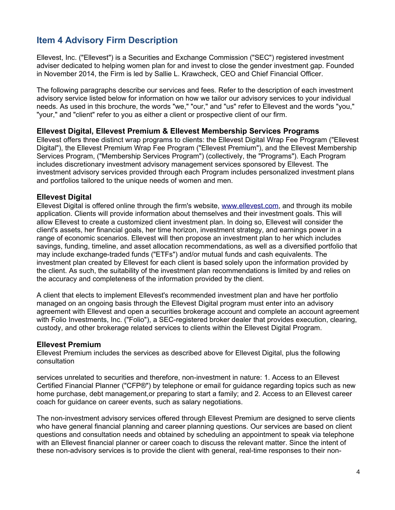### **Item 4 Advisory Firm Description**

Ellevest, Inc. ("Ellevest") is a Securities and Exchange Commission ("SEC") registered investment adviser dedicated to helping women plan for and invest to close the gender investment gap. Founded in November 2014, the Firm is led by Sallie L. Krawcheck, CEO and Chief Financial Officer.

The following paragraphs describe our services and fees. Refer to the description of each investment advisory service listed below for information on how we tailor our advisory services to your individual needs. As used in this brochure, the words "we," "our," and "us" refer to Ellevest and the words "you," "your," and "client" refer to you as either a client or prospective client of our firm.

#### **Ellevest Digital, Ellevest Premium & Ellevest Membership Services Programs**

Ellevest offers three distinct wrap programs to clients: the Ellevest Digital Wrap Fee Program ("Ellevest Digital"), the Ellevest Premium Wrap Fee Program ("Ellevest Premium"), and the Ellevest Membership Services Program, ("Membership Services Program") (collectively, the "Programs"). Each Program includes discretionary investment advisory management services sponsored by Ellevest. The investment advisory services provided through each Program includes personalized investment plans and portfolios tailored to the unique needs of women and men.

#### **Ellevest Digital**

Ellevest Digital is offered online through the firm's website, [www.ellevest.com,](http://www.ellevest.com/) and through its mobile application. Clients will provide information about themselves and their investment goals. This will allow Ellevest to create a customized client investment plan. In doing so, Ellevest will consider the client's assets, her financial goals, her time horizon, investment strategy, and earnings power in a range of economic scenarios. Ellevest will then propose an investment plan to her which includes savings, funding, timeline, and asset allocation recommendations, as well as a diversified portfolio that may include exchange-traded funds ("ETFs") and/or mutual funds and cash equivalents. The investment plan created by Ellevest for each client is based solely upon the information provided by the client. As such, the suitability of the investment plan recommendations is limited by and relies on the accuracy and completeness of the information provided by the client.

A client that elects to implement Ellevest's recommended investment plan and have her portfolio managed on an ongoing basis through the Ellevest Digital program must enter into an advisory agreement with Ellevest and open a securities brokerage account and complete an account agreement with Folio Investments, Inc. ("Folio"), a SEC-registered broker dealer that provides execution, clearing, custody, and other brokerage related services to clients within the Ellevest Digital Program.

#### **Ellevest Premium**

Ellevest Premium includes the services as described above for Ellevest Digital, plus the following consultation

services unrelated to securities and therefore, non-investment in nature: 1. Access to an Ellevest Certified Financial Planner ("CFP®") by telephone or email for guidance regarding topics such as new home purchase, debt management,or preparing to start a family; and 2. Access to an Ellevest career coach for guidance on career events, such as salary negotiations.

The non-investment advisory services offered through Ellevest Premium are designed to serve clients who have general financial planning and career planning questions. Our services are based on client questions and consultation needs and obtained by scheduling an appointment to speak via telephone with an Ellevest financial planner or career coach to discuss the relevant matter. Since the intent of these non-advisory services is to provide the client with general, real-time responses to their non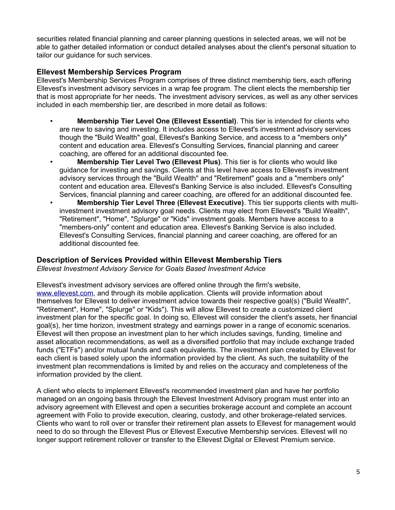securities related financial planning and career planning questions in selected areas, we will not be able to gather detailed information or conduct detailed analyses about the client's personal situation to tailor our guidance for such services.

#### **Ellevest Membership Services Program**

Ellevest's Membership Services Program comprises of three distinct membership tiers, each offering Ellevest's investment advisory services in a wrap fee program. The client elects the membership tier that is most appropriate for her needs. The investment advisory services, as well as any other services included in each membership tier, are described in more detail as follows:

- **Membership Tier Level One (Ellevest Essential)**. This tier is intended for clients who are new to saving and investing. It includes access to Ellevest's investment advisory services though the "Build Wealth" goal, Ellevest's Banking Service, and access to a "members only" content and education area. Ellevest's Consulting Services, financial planning and career coaching, are offered for an additional discounted fee.
- **Membership Tier Level Two (Ellevest Plus)**. This tier is for clients who would like guidance for investing and savings. Clients at this level have access to Ellevest's investment advisory services through the "Build Wealth" and "Retirement" goals and a "members only" content and education area. Ellevest's Banking Service is also included. Ellevest's Consulting Services, financial planning and career coaching, are offered for an additional discounted fee.
- **Membership Tier Level Three (Ellevest Executive)**. This tier supports clients with multiinvestment investment advisory goal needs. Clients may elect from Ellevest's "Build Wealth", "Retirement", "Home", "Splurge" or "Kids" investment goals. Members have access to a "members-only" content and education area. Ellevest's Banking Service is also included. Ellevest's Consulting Services, financial planning and career coaching, are offered for an additional discounted fee.

#### **Description of Services Provided within Ellevest Membership Tiers**

*Ellevest Investment Advisory Service for Goals Based Investment Advice*

Ellevest's investment advisory services are offered online through the firm's website, [www.ellevest.com,](http://www.ellevest.com/) and through its mobile application. Clients will provide information about themselves for Ellevest to deliver investment advice towards their respective goal(s) ("Build Wealth", "Retirement", Home", "Splurge" or "Kids"). This will allow Ellevest to create a customized client investment plan for the specific goal. In doing so, Ellevest will consider the client's assets, her financial goal(s), her time horizon, investment strategy and earnings power in a range of economic scenarios. Ellevest will then propose an investment plan to her which includes savings, funding, timeline and asset allocation recommendations, as well as a diversified portfolio that may include exchange traded funds ("ETFs") and/or mutual funds and cash equivalents. The investment plan created by Ellevest for each client is based solely upon the information provided by the client. As such, the suitability of the investment plan recommendations is limited by and relies on the accuracy and completeness of the information provided by the client.

A client who elects to implement Ellevest's recommended investment plan and have her portfolio managed on an ongoing basis through the Ellevest Investment Advisory program must enter into an advisory agreement with Ellevest and open a securities brokerage account and complete an account agreement with Folio to provide execution, clearing, custody, and other brokerage-related services. Clients who want to roll over or transfer their retirement plan assets to Ellevest for management would need to do so through the Ellevest Plus or Ellevest Executive Membership services. Ellevest will no longer support retirement rollover or transfer to the Ellevest Digital or Ellevest Premium service.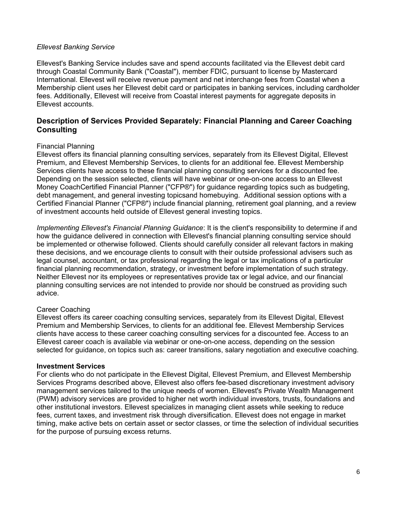#### *Ellevest Banking Service*

Ellevest's Banking Service includes save and spend accounts facilitated via the Ellevest debit card through Coastal Community Bank ("Coastal"), member FDIC, pursuant to license by Mastercard International. Ellevest will receive revenue payment and net interchange fees from Coastal when a Membership client uses her Ellevest debit card or participates in banking services, including cardholder fees. Additionally, Ellevest will receive from Coastal interest payments for aggregate deposits in Ellevest accounts.

#### **Description of Services Provided Separately: Financial Planning and Career Coaching Consulting**

#### Financial Planning

Ellevest offers its financial planning consulting services, separately from its Ellevest Digital, Ellevest Premium, and Ellevest Membership Services, to clients for an additional fee. Ellevest Membership Services clients have access to these financial planning consulting services for a discounted fee. Depending on the session selected, clients will have webinar or one-on-one access to an Ellevest Money CoachCertified Financial Planner ("CFP®") for guidance regarding topics such as budgeting, debt management, and general investing topicsand homebuying. Additional session options with a Certified Financial Planner ("CFP®") include financial planning, retirement goal planning, and a review of investment accounts held outside of Ellevest general investing topics.

*Implementing Ellevest's Financial Planning Guidance*: It is the client's responsibility to determine if and how the guidance delivered in connection with Ellevest's financial planning consulting service should be implemented or otherwise followed. Clients should carefully consider all relevant factors in making these decisions, and we encourage clients to consult with their outside professional advisers such as legal counsel, accountant, or tax professional regarding the legal or tax implications of a particular financial planning recommendation, strategy, or investment before implementation of such strategy. Neither Ellevest nor its employees or representatives provide tax or legal advice, and our financial planning consulting services are not intended to provide nor should be construed as providing such advice.

#### Career Coaching

Ellevest offers its career coaching consulting services, separately from its Ellevest Digital, Ellevest Premium and Membership Services, to clients for an additional fee. Ellevest Membership Services clients have access to these career coaching consulting services for a discounted fee. Access to an Ellevest career coach is available via webinar or one-on-one access, depending on the session selected for guidance, on topics such as: career transitions, salary negotiation and executive coaching.

#### **Investment Services**

For clients who do not participate in the Ellevest Digital, Ellevest Premium, and Ellevest Membership Services Programs described above, Ellevest also offers fee-based discretionary investment advisory management services tailored to the unique needs of women. Ellevest's Private Wealth Management (PWM) advisory services are provided to higher net worth individual investors, trusts, foundations and other institutional investors. Ellevest specializes in managing client assets while seeking to reduce fees, current taxes, and investment risk through diversification. Ellevest does not engage in market timing, make active bets on certain asset or sector classes, or time the selection of individual securities for the purpose of pursuing excess returns.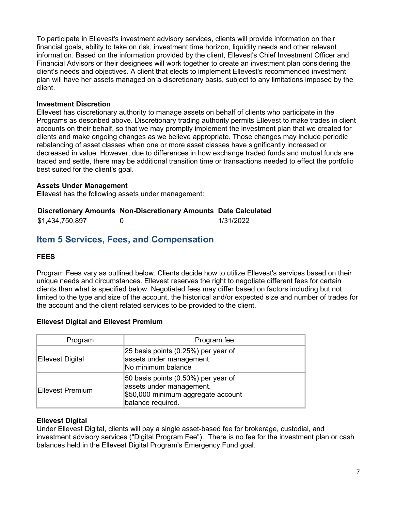To participate in Ellevest's investment advisory services, clients will provide information on their financial goals, ability to take on risk, investment time horizon, liquidity needs and other relevant information. Based on the information provided by the client, Ellevest's Chief Investment Officer and Financial Advisors or their designees will work together to create an investment plan considering the client's needs and objectives. A client that elects to implement Ellevest's recommended investment plan will have her assets managed on a discretionary basis, subject to any limitations imposed by the client.

#### **Investment Discretion**

Ellevest has discretionary authority to manage assets on behalf of clients who participate in the Programs as described above. Discretionary trading authority permits Ellevest to make trades in client accounts on their behalf, so that we may promptly implement the investment plan that we created for clients and make ongoing changes as we believe appropriate. Those changes may include periodic rebalancing of asset classes when one or more asset classes have significantly increased or decreased in value. However, due to differences in how exchange traded funds and mutual funds are traded and settle, there may be additional transition time or transactions needed to effect the portfolio best suited for the client's goal.

#### **Assets Under Management**

Ellevest has the following assets under management:

#### **Discretionary Amounts Non-Discretionary Amounts Date Calculated**

| \$1,434,750,897 |  | 1/31/2022 |
|-----------------|--|-----------|
|-----------------|--|-----------|

### **Item 5 Services, Fees, and Compensation**

#### **FEES**

Program Fees vary as outlined below. Clients decide how to utilize Ellevest's services based on their unique needs and circumstances. Ellevest reserves the right to negotiate different fees for certain clients than what is specified below. Negotiated fees may differ based on factors including but not limited to the type and size of the account, the historical and/or expected size and number of trades for the account and the client related services to be provided to the client.

#### **Ellevest Digital and Ellevest Premium**

| Program          | Program fee                                                                                                                |
|------------------|----------------------------------------------------------------------------------------------------------------------------|
| Ellevest Digital | 25 basis points (0.25%) per year of<br>assets under management.<br>No minimum balance                                      |
| Ellevest Premium | 50 basis points (0.50%) per year of<br>assets under management.<br>\$50,000 minimum aggregate account<br>balance required. |

#### **Ellevest Digital**

Under Ellevest Digital, clients will pay a single asset-based fee for brokerage, custodial, and investment advisory services ("Digital Program Fee"). There is no fee for the investment plan or cash balances held in the Ellevest Digital Program's Emergency Fund goal.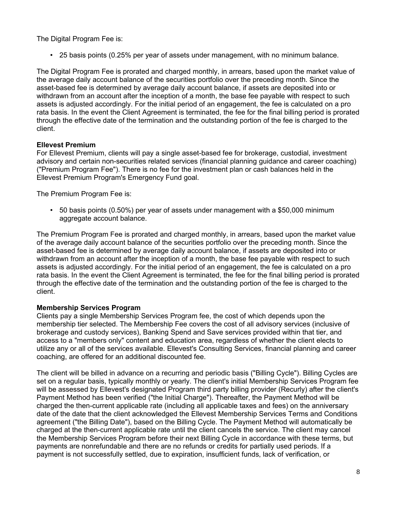The Digital Program Fee is:

• 25 basis points (0.25% per year of assets under management, with no minimum balance.

The Digital Program Fee is prorated and charged monthly, in arrears, based upon the market value of the average daily account balance of the securities portfolio over the preceding month. Since the asset-based fee is determined by average daily account balance, if assets are deposited into or withdrawn from an account after the inception of a month, the base fee payable with respect to such assets is adjusted accordingly. For the initial period of an engagement, the fee is calculated on a pro rata basis. In the event the Client Agreement is terminated, the fee for the final billing period is prorated through the effective date of the termination and the outstanding portion of the fee is charged to the client.

#### **Ellevest Premium**

For Ellevest Premium, clients will pay a single asset-based fee for brokerage, custodial, investment advisory and certain non-securities related services (financial planning guidance and career coaching) ("Premium Program Fee"). There is no fee for the investment plan or cash balances held in the Ellevest Premium Program's Emergency Fund goal.

The Premium Program Fee is:

• 50 basis points (0.50%) per year of assets under management with a \$50,000 minimum aggregate account balance.

The Premium Program Fee is prorated and charged monthly, in arrears, based upon the market value of the average daily account balance of the securities portfolio over the preceding month. Since the asset-based fee is determined by average daily account balance, if assets are deposited into or withdrawn from an account after the inception of a month, the base fee payable with respect to such assets is adjusted accordingly. For the initial period of an engagement, the fee is calculated on a pro rata basis. In the event the Client Agreement is terminated, the fee for the final billing period is prorated through the effective date of the termination and the outstanding portion of the fee is charged to the client.

#### **Membership Services Program**

Clients pay a single Membership Services Program fee, the cost of which depends upon the membership tier selected. The Membership Fee covers the cost of all advisory services (inclusive of brokerage and custody services), Banking Spend and Save services provided within that tier, and access to a "members only" content and education area, regardless of whether the client elects to utilize any or all of the services available. Ellevest's Consulting Services, financial planning and career coaching, are offered for an additional discounted fee.

The client will be billed in advance on a recurring and periodic basis ("Billing Cycle"). Billing Cycles are set on a regular basis, typically monthly or yearly. The client's initial Membership Services Program fee will be assessed by Ellevest's designated Program third party billing provider (Recurly) after the client's Payment Method has been verified ("the Initial Charge"). Thereafter, the Payment Method will be charged the then-current applicable rate (including all applicable taxes and fees) on the anniversary date of the date that the client acknowledged the Ellevest Membership Services Terms and Conditions agreement ("the Billing Date"), based on the Billing Cycle. The Payment Method will automatically be charged at the then-current applicable rate until the client cancels the service. The client may cancel the Membership Services Program before their next Billing Cycle in accordance with these terms, but payments are nonrefundable and there are no refunds or credits for partially used periods. If a payment is not successfully settled, due to expiration, insufficient funds, lack of verification, or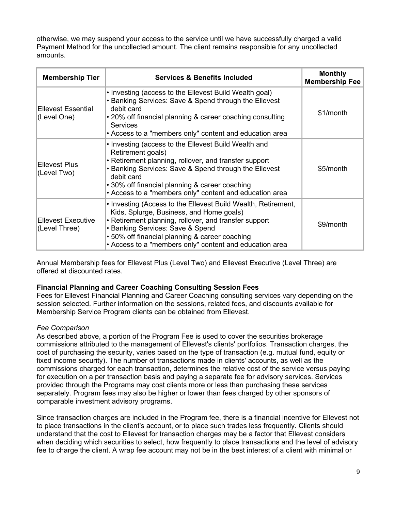otherwise, we may suspend your access to the service until we have successfully charged a valid Payment Method for the uncollected amount. The client remains responsible for any uncollected amounts.

| <b>Membership Tier</b>                     | <b>Services &amp; Benefits Included</b>                                                                                                                                                                                                                                                                                | <b>Monthly</b><br><b>Membership Fee</b> |
|--------------------------------------------|------------------------------------------------------------------------------------------------------------------------------------------------------------------------------------------------------------------------------------------------------------------------------------------------------------------------|-----------------------------------------|
| <b>Ellevest Essential</b><br>(Level One)   | • Investing (access to the Ellevest Build Wealth goal)<br>• Banking Services: Save & Spend through the Ellevest<br>debit card<br>• 20% off financial planning & career coaching consulting<br><b>Services</b><br>• Access to a "members only" content and education area                                               | \$1/month                               |
| Ellevest Plus<br>(Level Two)               | • Investing (access to the Ellevest Build Wealth and<br>Retirement goals)<br>• Retirement planning, rollover, and transfer support<br>• Banking Services: Save & Spend through the Ellevest<br>debit card<br>• 30% off financial planning & career coaching<br>• Access to a "members only" content and education area | \$5/month                               |
| <b>Ellevest Executive</b><br>(Level Three) | • Investing (Access to the Ellevest Build Wealth, Retirement,<br>Kids, Splurge, Business, and Home goals)<br>• Retirement planning, rollover, and transfer support<br>• Banking Services: Save & Spend<br>• 50% off financial planning & career coaching<br>• Access to a "members only" content and education area    | \$9/month                               |

Annual Membership fees for Ellevest Plus (Level Two) and Ellevest Executive (Level Three) are offered at discounted rates.

#### **Financial Planning and Career Coaching Consulting Session Fees**

Fees for Ellevest Financial Planning and Career Coaching consulting services vary depending on the session selected. Further information on the sessions, related fees, and discounts available for Membership Service Program clients can be obtained from Ellevest.

#### *Fee Comparison*

As described above, a portion of the Program Fee is used to cover the securities brokerage commissions attributed to the management of Ellevest's clients' portfolios. Transaction charges, the cost of purchasing the security, varies based on the type of transaction (e.g. mutual fund, equity or fixed income security). The number of transactions made in clients' accounts, as well as the commissions charged for each transaction, determines the relative cost of the service versus paying for execution on a per transaction basis and paying a separate fee for advisory services. Services provided through the Programs may cost clients more or less than purchasing these services separately. Program fees may also be higher or lower than fees charged by other sponsors of comparable investment advisory programs.

Since transaction charges are included in the Program fee, there is a financial incentive for Ellevest not to place transactions in the client's account, or to place such trades less frequently. Clients should understand that the cost to Ellevest for transaction charges may be a factor that Ellevest considers when deciding which securities to select, how frequently to place transactions and the level of advisory fee to charge the client. A wrap fee account may not be in the best interest of a client with minimal or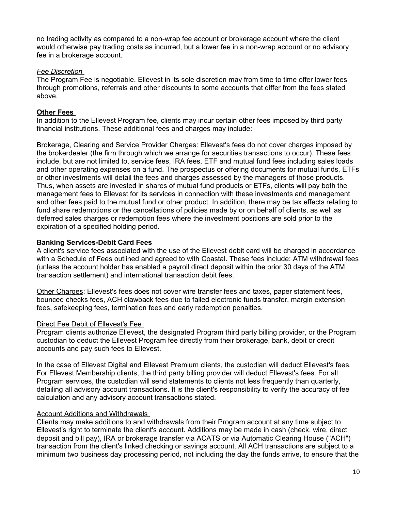no trading activity as compared to a non-wrap fee account or brokerage account where the client would otherwise pay trading costs as incurred, but a lower fee in a non-wrap account or no advisory fee in a brokerage account.

#### *Fee Discretion*

The Program Fee is negotiable. Ellevest in its sole discretion may from time to time offer lower fees through promotions, referrals and other discounts to some accounts that differ from the fees stated above.

#### **Other Fees**

In addition to the Ellevest Program fee, clients may incur certain other fees imposed by third party financial institutions. These additional fees and charges may include:

Brokerage, Clearing and Service Provider Charges: Ellevest's fees do not cover charges imposed by the brokerdealer (the firm through which we arrange for securities transactions to occur). These fees include, but are not limited to, service fees, IRA fees, ETF and mutual fund fees including sales loads and other operating expenses on a fund. The prospectus or offering documents for mutual funds, ETFs or other investments will detail the fees and charges assessed by the managers of those products. Thus, when assets are invested in shares of mutual fund products or ETFs, clients will pay both the management fees to Ellevest for its services in connection with these investments and management and other fees paid to the mutual fund or other product. In addition, there may be tax effects relating to fund share redemptions or the cancellations of policies made by or on behalf of clients, as well as deferred sales charges or redemption fees where the investment positions are sold prior to the expiration of a specified holding period.

#### **Banking Services-Debit Card Fees**

A client's service fees associated with the use of the Ellevest debit card will be charged in accordance with a Schedule of Fees outlined and agreed to with Coastal. These fees include: ATM withdrawal fees (unless the account holder has enabled a payroll direct deposit within the prior 30 days of the ATM transaction settlement) and international transaction debit fees.

Other Charges: Ellevest's fees does not cover wire transfer fees and taxes, paper statement fees, bounced checks fees, ACH clawback fees due to failed electronic funds transfer, margin extension fees, safekeeping fees, termination fees and early redemption penalties.

#### Direct Fee Debit of Ellevest's Fee

Program clients authorize Ellevest, the designated Program third party billing provider, or the Program custodian to deduct the Ellevest Program fee directly from their brokerage, bank, debit or credit accounts and pay such fees to Ellevest.

In the case of Ellevest Digital and Ellevest Premium clients, the custodian will deduct Ellevest's fees. For Ellevest Membership clients, the third party billing provider will deduct Ellevest's fees. For all Program services, the custodian will send statements to clients not less frequently than quarterly, detailing all advisory account transactions. It is the client's responsibility to verify the accuracy of fee calculation and any advisory account transactions stated.

#### Account Additions and Withdrawals

Clients may make additions to and withdrawals from their Program account at any time subject to Ellevest's right to terminate the client's account. Additions may be made in cash (check, wire, direct deposit and bill pay), IRA or brokerage transfer via ACATS or via Automatic Clearing House ("ACH") transaction from the client's linked checking or savings account. All ACH transactions are subject to a minimum two business day processing period, not including the day the funds arrive, to ensure that the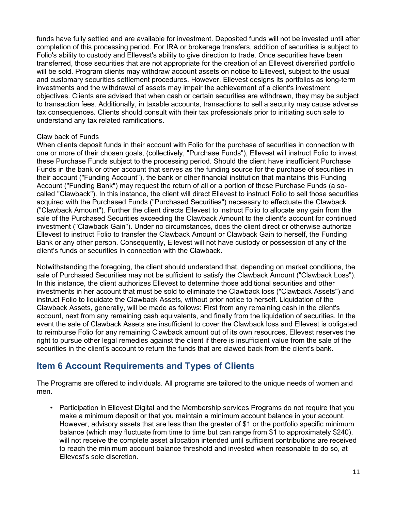funds have fully settled and are available for investment. Deposited funds will not be invested until after completion of this processing period. For IRA or brokerage transfers, addition of securities is subject to Folio's ability to custody and Ellevest's ability to give direction to trade. Once securities have been transferred, those securities that are not appropriate for the creation of an Ellevest diversified portfolio will be sold. Program clients may withdraw account assets on notice to Ellevest, subject to the usual and customary securities settlement procedures. However, Ellevest designs its portfolios as long-term investments and the withdrawal of assets may impair the achievement of a client's investment objectives. Clients are advised that when cash or certain securities are withdrawn, they may be subject to transaction fees. Additionally, in taxable accounts, transactions to sell a security may cause adverse tax consequences. Clients should consult with their tax professionals prior to initiating such sale to understand any tax related ramifications.

#### Claw back of Funds

When clients deposit funds in their account with Folio for the purchase of securities in connection with one or more of their chosen goals, (collectively, "Purchase Funds"), Ellevest will instruct Folio to invest these Purchase Funds subject to the processing period. Should the client have insufficient Purchase Funds in the bank or other account that serves as the funding source for the purchase of securities in their account ("Funding Account"), the bank or other financial institution that maintains this Funding Account ("Funding Bank") may request the return of all or a portion of these Purchase Funds (a socalled "Clawback"). In this instance, the client will direct Ellevest to instruct Folio to sell those securities acquired with the Purchased Funds ("Purchased Securities") necessary to effectuate the Clawback ("Clawback Amount"). Further the client directs Ellevest to instruct Folio to allocate any gain from the sale of the Purchased Securities exceeding the Clawback Amount to the client's account for continued investment ("Clawback Gain"). Under no circumstances, does the client direct or otherwise authorize Ellevest to instruct Folio to transfer the Clawback Amount or Clawback Gain to herself, the Funding Bank or any other person. Consequently, Ellevest will not have custody or possession of any of the client's funds or securities in connection with the Clawback.

Notwithstanding the foregoing, the client should understand that, depending on market conditions, the sale of Purchased Securities may not be sufficient to satisfy the Clawback Amount ("Clawback Loss"). In this instance, the client authorizes Ellevest to determine those additional securities and other investments in her account that must be sold to eliminate the Clawback loss ("Clawback Assets") and instruct Folio to liquidate the Clawback Assets, without prior notice to herself. Liquidation of the Clawback Assets, generally, will be made as follows: First from any remaining cash in the client's account, next from any remaining cash equivalents, and finally from the liquidation of securities. In the event the sale of Clawback Assets are insufficient to cover the Clawback loss and Ellevest is obligated to reimburse Folio for any remaining Clawback amount out of its own resources, Ellevest reserves the right to pursue other legal remedies against the client if there is insufficient value from the sale of the securities in the client's account to return the funds that are clawed back from the client's bank.

### **Item 6 Account Requirements and Types of Clients**

The Programs are offered to individuals. All programs are tailored to the unique needs of women and men.

• Participation in Ellevest Digital and the Membership services Programs do not require that you make a minimum deposit or that you maintain a minimum account balance in your account. However, advisory assets that are less than the greater of \$1 or the portfolio specific minimum balance (which may fluctuate from time to time but can range from \$1 to approximately \$240), will not receive the complete asset allocation intended until sufficient contributions are received to reach the minimum account balance threshold and invested when reasonable to do so, at Ellevest's sole discretion.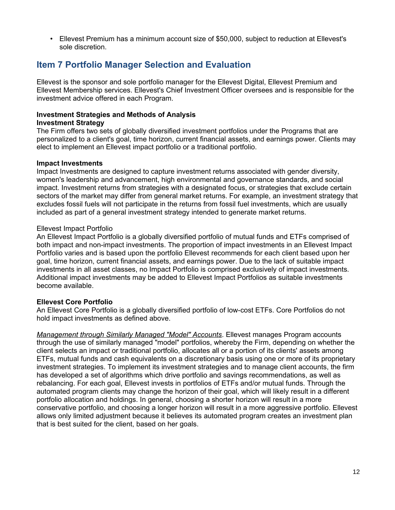• Ellevest Premium has a minimum account size of \$50,000, subject to reduction at Ellevest's sole discretion.

### **Item 7 Portfolio Manager Selection and Evaluation**

Ellevest is the sponsor and sole portfolio manager for the Ellevest Digital, Ellevest Premium and Ellevest Membership services. Ellevest's Chief Investment Officer oversees and is responsible for the investment advice offered in each Program.

#### **Investment Strategies and Methods of Analysis Investment Strategy**

The Firm offers two sets of globally diversified investment portfolios under the Programs that are personalized to a client's goal, time horizon, current financial assets, and earnings power. Clients may elect to implement an Ellevest impact portfolio or a traditional portfolio.

#### **Impact Investments**

Impact Investments are designed to capture investment returns associated with gender diversity, women's leadership and advancement, high environmental and governance standards, and social impact. Investment returns from strategies with a designated focus, or strategies that exclude certain sectors of the market may differ from general market returns. For example, an investment strategy that excludes fossil fuels will not participate in the returns from fossil fuel investments, which are usually included as part of a general investment strategy intended to generate market returns.

#### Ellevest Impact Portfolio

An Ellevest Impact Portfolio is a globally diversified portfolio of mutual funds and ETFs comprised of both impact and non-impact investments. The proportion of impact investments in an Ellevest Impact Portfolio varies and is based upon the portfolio Ellevest recommends for each client based upon her goal, time horizon, current financial assets, and earnings power. Due to the lack of suitable impact investments in all asset classes, no Impact Portfolio is comprised exclusively of impact investments. Additional impact investments may be added to Ellevest Impact Portfolios as suitable investments become available.

#### **Ellevest Core Portfolio**

An Ellevest Core Portfolio is a globally diversified portfolio of low-cost ETFs. Core Portfolios do not hold impact investments as defined above.

*Management through Similarly Managed "Model" Accounts*. Ellevest manages Program accounts through the use of similarly managed "model" portfolios, whereby the Firm, depending on whether the client selects an impact or traditional portfolio, allocates all or a portion of its clients' assets among ETFs, mutual funds and cash equivalents on a discretionary basis using one or more of its proprietary investment strategies. To implement its investment strategies and to manage client accounts, the firm has developed a set of algorithms which drive portfolio and savings recommendations, as well as rebalancing. For each goal, Ellevest invests in portfolios of ETFs and/or mutual funds. Through the automated program clients may change the horizon of their goal, which will likely result in a different portfolio allocation and holdings. In general, choosing a shorter horizon will result in a more conservative portfolio, and choosing a longer horizon will result in a more aggressive portfolio. Ellevest allows only limited adjustment because it believes its automated program creates an investment plan that is best suited for the client, based on her goals.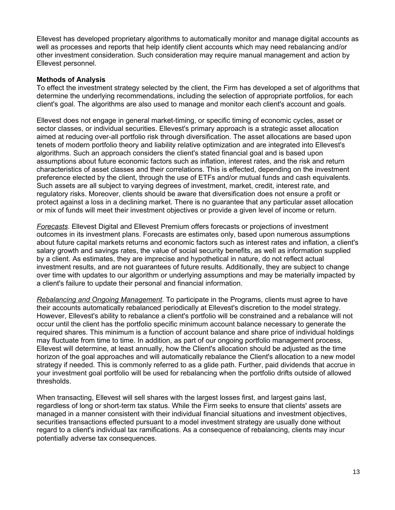Ellevest has developed proprietary algorithms to automatically monitor and manage digital accounts as well as processes and reports that help identify client accounts which may need rebalancing and/or other investment consideration. Such consideration may require manual management and action by Ellevest personnel.

#### **Methods of Analysis**

To effect the investment strategy selected by the client, the Firm has developed a set of algorithms that determine the underlying recommendations, including the selection of appropriate portfolios, for each client's goal. The algorithms are also used to manage and monitor each client's account and goals.

Ellevest does not engage in general market-timing, or specific timing of economic cycles, asset or sector classes, or individual securities. Ellevest's primary approach is a strategic asset allocation aimed at reducing over-all portfolio risk through diversification. The asset allocations are based upon tenets of modern portfolio theory and liability relative optimization and are integrated into Ellevest's algorithms. Such an approach considers the client's stated financial goal and is based upon assumptions about future economic factors such as inflation, interest rates, and the risk and return characteristics of asset classes and their correlations. This is effected, depending on the investment preference elected by the client, through the use of ETFs and/or mutual funds and cash equivalents. Such assets are all subject to varying degrees of investment, market, credit, interest rate, and regulatory risks. Moreover, clients should be aware that diversification does not ensure a profit or protect against a loss in a declining market. There is no guarantee that any particular asset allocation or mix of funds will meet their investment objectives or provide a given level of income or return.

*Forecasts*. Ellevest Digital and Ellevest Premium offers forecasts or projections of investment outcomes in its investment plans. Forecasts are estimates only, based upon numerous assumptions about future capital markets returns and economic factors such as interest rates and inflation, a client's salary growth and savings rates, the value of social security benefits, as well as information supplied by a client. As estimates, they are imprecise and hypothetical in nature, do not reflect actual investment results, and are not guarantees of future results. Additionally, they are subject to change over time with updates to our algorithm or underlying assumptions and may be materially impacted by a client's failure to update their personal and financial information.

*Rebalancing and Ongoing Management*. To participate in the Programs, clients must agree to have their accounts automatically rebalanced periodically at Ellevest's discretion to the model strategy. However, Ellevest's ability to rebalance a client's portfolio will be constrained and a rebalance will not occur until the client has the portfolio specific minimum account balance necessary to generate the required shares. This minimum is a function of account balance and share price of individual holdings may fluctuate from time to time. In addition, as part of our ongoing portfolio management process, Ellevest will determine, at least annually, how the Client's allocation should be adjusted as the time horizon of the goal approaches and will automatically rebalance the Client's allocation to a new model strategy if needed. This is commonly referred to as a glide path. Further, paid dividends that accrue in your investment goal portfolio will be used for rebalancing when the portfolio drifts outside of allowed thresholds.

When transacting, Ellevest will sell shares with the largest losses first, and largest gains last, regardless of long or short-term tax status. While the Firm seeks to ensure that clients' assets are managed in a manner consistent with their individual financial situations and investment objectives, securities transactions effected pursuant to a model investment strategy are usually done without regard to a client's individual tax ramifications. As a consequence of rebalancing, clients may incur potentially adverse tax consequences.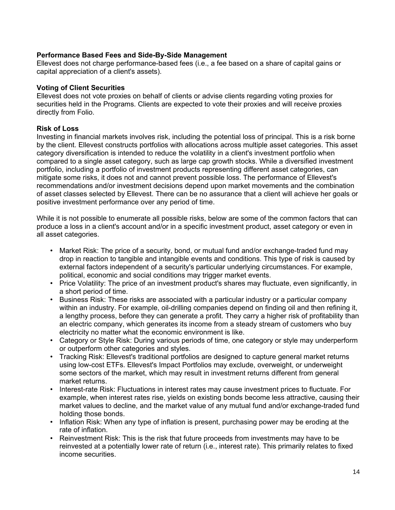#### **Performance Based Fees and Side-By-Side Management**

Ellevest does not charge performance-based fees (i.e., a fee based on a share of capital gains or capital appreciation of a client's assets).

#### **Voting of Client Securities**

Ellevest does not vote proxies on behalf of clients or advise clients regarding voting proxies for securities held in the Programs. Clients are expected to vote their proxies and will receive proxies directly from Folio.

#### **Risk of Loss**

Investing in financial markets involves risk, including the potential loss of principal. This is a risk borne by the client. Ellevest constructs portfolios with allocations across multiple asset categories. This asset category diversification is intended to reduce the volatility in a client's investment portfolio when compared to a single asset category, such as large cap growth stocks. While a diversified investment portfolio, including a portfolio of investment products representing different asset categories, can mitigate some risks, it does not and cannot prevent possible loss. The performance of Ellevest's recommendations and/or investment decisions depend upon market movements and the combination of asset classes selected by Ellevest. There can be no assurance that a client will achieve her goals or positive investment performance over any period of time.

While it is not possible to enumerate all possible risks, below are some of the common factors that can produce a loss in a client's account and/or in a specific investment product, asset category or even in all asset categories.

- Market Risk: The price of a security, bond, or mutual fund and/or exchange-traded fund may drop in reaction to tangible and intangible events and conditions. This type of risk is caused by external factors independent of a security's particular underlying circumstances. For example, political, economic and social conditions may trigger market events.
- Price Volatility: The price of an investment product's shares may fluctuate, even significantly, in a short period of time.
- Business Risk: These risks are associated with a particular industry or a particular company within an industry. For example, oil-drilling companies depend on finding oil and then refining it, a lengthy process, before they can generate a profit. They carry a higher risk of profitability than an electric company, which generates its income from a steady stream of customers who buy electricity no matter what the economic environment is like.
- Category or Style Risk: During various periods of time, one category or style may underperform or outperform other categories and styles.
- Tracking Risk: Ellevest's traditional portfolios are designed to capture general market returns using low-cost ETFs. Ellevest's Impact Portfolios may exclude, overweight, or underweight some sectors of the market, which may result in investment returns different from general market returns.
- Interest-rate Risk: Fluctuations in interest rates may cause investment prices to fluctuate. For example, when interest rates rise, yields on existing bonds become less attractive, causing their market values to decline, and the market value of any mutual fund and/or exchange-traded fund holding those bonds.
- Inflation Risk: When any type of inflation is present, purchasing power may be eroding at the rate of inflation.
- Reinvestment Risk: This is the risk that future proceeds from investments may have to be reinvested at a potentially lower rate of return (i.e., interest rate). This primarily relates to fixed income securities.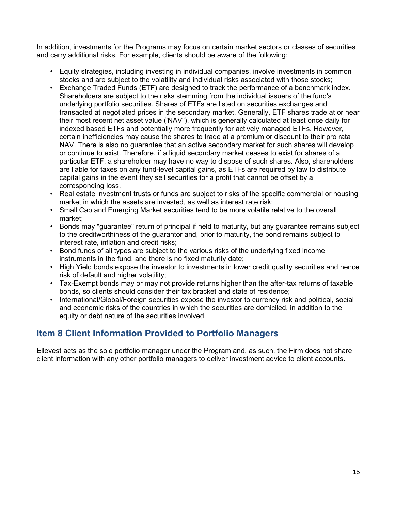In addition, investments for the Programs may focus on certain market sectors or classes of securities and carry additional risks. For example, clients should be aware of the following:

- Equity strategies, including investing in individual companies, involve investments in common stocks and are subject to the volatility and individual risks associated with those stocks;
- Exchange Traded Funds (ETF) are designed to track the performance of a benchmark index. Shareholders are subject to the risks stemming from the individual issuers of the fund's underlying portfolio securities. Shares of ETFs are listed on securities exchanges and transacted at negotiated prices in the secondary market. Generally, ETF shares trade at or near their most recent net asset value ('NAV"), which is generally calculated at least once daily for indexed based ETFs and potentially more frequently for actively managed ETFs. However, certain inefficiencies may cause the shares to trade at a premium or discount to their pro rata NAV. There is also no guarantee that an active secondary market for such shares will develop or continue to exist. Therefore, if a liquid secondary market ceases to exist for shares of a particular ETF, a shareholder may have no way to dispose of such shares. Also, shareholders are liable for taxes on any fund-level capital gains, as ETFs are required by law to distribute capital gains in the event they sell securities for a profit that cannot be offset by a corresponding loss.
- Real estate investment trusts or funds are subject to risks of the specific commercial or housing market in which the assets are invested, as well as interest rate risk;
- Small Cap and Emerging Market securities tend to be more volatile relative to the overall market;
- Bonds may "guarantee" return of principal if held to maturity, but any guarantee remains subject to the creditworthiness of the guarantor and, prior to maturity, the bond remains subject to interest rate, inflation and credit risks;
- Bond funds of all types are subject to the various risks of the underlying fixed income instruments in the fund, and there is no fixed maturity date;
- High Yield bonds expose the investor to investments in lower credit quality securities and hence risk of default and higher volatility;
- Tax-Exempt bonds may or may not provide returns higher than the after-tax returns of taxable bonds, so clients should consider their tax bracket and state of residence;
- International/Global/Foreign securities expose the investor to currency risk and political, social and economic risks of the countries in which the securities are domiciled, in addition to the equity or debt nature of the securities involved.

### **Item 8 Client Information Provided to Portfolio Managers**

Ellevest acts as the sole portfolio manager under the Program and, as such, the Firm does not share client information with any other portfolio managers to deliver investment advice to client accounts.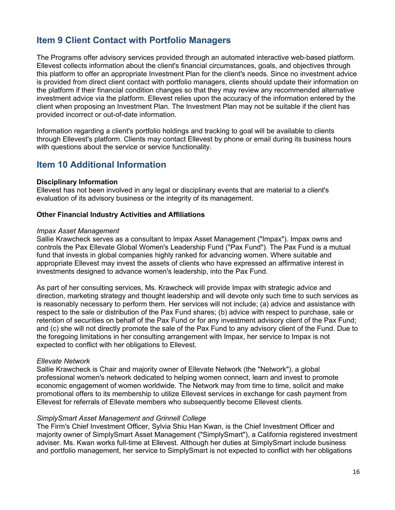### **Item 9 Client Contact with Portfolio Managers**

The Programs offer advisory services provided through an automated interactive web-based platform. Ellevest collects information about the client's financial circumstances, goals, and objectives through this platform to offer an appropriate Investment Plan for the client's needs. Since no investment advice is provided from direct client contact with portfolio managers, clients should update their information on the platform if their financial condition changes so that they may review any recommended alternative investment advice via the platform. Ellevest relies upon the accuracy of the information entered by the client when proposing an Investment Plan. The Investment Plan may not be suitable if the client has provided incorrect or out-of-date information.

Information regarding a client's portfolio holdings and tracking to goal will be available to clients through Ellevest's platform. Clients may contact Ellevest by phone or email during its business hours with questions about the service or service functionality.

### **Item 10 Additional Information**

#### **Disciplinary Information**

Ellevest has not been involved in any legal or disciplinary events that are material to a client's evaluation of its advisory business or the integrity of its management.

#### **Other Financial Industry Activities and Affiliations**

#### *Impax Asset Management*

Sallie Krawcheck serves as a consultant to Impax Asset Management ("Impax"). Impax owns and controls the Pax Ellevate Global Women's Leadership Fund ("Pax Fund"). The Pax Fund is a mutual fund that invests in global companies highly ranked for advancing women. Where suitable and appropriate Ellevest may invest the assets of clients who have expressed an affirmative interest in investments designed to advance women's leadership, into the Pax Fund.

As part of her consulting services, Ms. Krawcheck will provide Impax with strategic advice and direction, marketing strategy and thought leadership and will devote only such time to such services as is reasonably necessary to perform them. Her services will not include; (a) advice and assistance with respect to the sale or distribution of the Pax Fund shares; (b) advice with respect to purchase, sale or retention of securities on behalf of the Pax Fund or for any investment advisory client of the Pax Fund; and (c) she will not directly promote the sale of the Pax Fund to any advisory client of the Fund. Due to the foregoing limitations in her consulting arrangement with Impax, her service to Impax is not expected to conflict with her obligations to Ellevest.

#### *Ellevate Network*

Sallie Krawcheck is Chair and majority owner of Ellevate Network (the "Network"), a global professional women's network dedicated to helping women connect, learn and invest to promote economic engagement of women worldwide. The Network may from time to time, solicit and make promotional offers to its membership to utilize Ellevest services in exchange for cash payment from Ellevest for referrals of Ellevate members who subsequently become Ellevest clients.

#### *SimplySmart Asset Management and Grinnell College*

The Firm's Chief Investment Officer, Sylvia Shiu Han Kwan, is the Chief Investment Officer and majority owner of SimplySmart Asset Management ("SimplySmart"), a California registered investment adviser. Ms. Kwan works full-time at Ellevest. Although her duties at SimplySmart include business and portfolio management, her service to SimplySmart is not expected to conflict with her obligations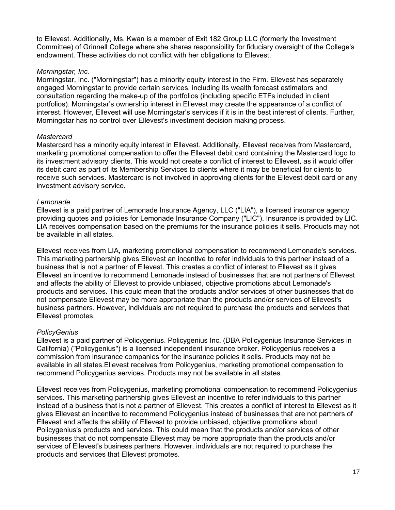to Ellevest. Additionally, Ms. Kwan is a member of Exit 182 Group LLC (formerly the Investment Committee) of Grinnell College where she shares responsibility for fiduciary oversight of the College's endowment. These activities do not conflict with her obligations to Ellevest.

#### *Morningstar, Inc.*

Morningstar, Inc. ("Morningstar") has a minority equity interest in the Firm. Ellevest has separately engaged Morningstar to provide certain services, including its wealth forecast estimators and consultation regarding the make-up of the portfolios (including specific ETFs included in client portfolios). Morningstar's ownership interest in Ellevest may create the appearance of a conflict of interest. However, Ellevest will use Morningstar's services if it is in the best interest of clients. Further, Morningstar has no control over Ellevest's investment decision making process.

#### *Mastercard*

Mastercard has a minority equity interest in Ellevest. Additionally, Ellevest receives from Mastercard, marketing promotional compensation to offer the Ellevest debit card containing the Mastercard logo to its investment advisory clients. This would not create a conflict of interest to Ellevest, as it would offer its debit card as part of its Membership Services to clients where it may be beneficial for clients to receive such services. Mastercard is not involved in approving clients for the Ellevest debit card or any investment advisory service.

#### *Lemonade*

Ellevest is a paid partner of Lemonade Insurance Agency, LLC ("LIA"), a licensed insurance agency providing quotes and policies for Lemonade Insurance Company ("LIC"). Insurance is provided by LIC. LIA receives compensation based on the premiums for the insurance policies it sells. Products may not be available in all states.

Ellevest receives from LIA, marketing promotional compensation to recommend Lemonade's services. This marketing partnership gives Ellevest an incentive to refer individuals to this partner instead of a business that is not a partner of Ellevest. This creates a conflict of interest to Ellevest as it gives Ellevest an incentive to recommend Lemonade instead of businesses that are not partners of Ellevest and affects the ability of Ellevest to provide unbiased, objective promotions about Lemonade's products and services. This could mean that the products and/or services of other businesses that do not compensate Ellevest may be more appropriate than the products and/or services of Ellevest's business partners. However, individuals are not required to purchase the products and services that Ellevest promotes.

#### *PolicyGenius*

Ellevest is a paid partner of Policygenius. Policygenius Inc. (DBA Policygenius Insurance Services in California) ("Policygenius") is a licensed independent insurance broker. Policygenius receives a commission from insurance companies for the insurance policies it sells. Products may not be available in all states.Ellevest receives from Policygenius, marketing promotional compensation to recommend Policygenius services. Products may not be available in all states.

Ellevest receives from Policygenius, marketing promotional compensation to recommend Policygenius services. This marketing partnership gives Ellevest an incentive to refer individuals to this partner instead of a business that is not a partner of Ellevest. This creates a conflict of interest to Ellevest as it gives Ellevest an incentive to recommend Policygenius instead of businesses that are not partners of Ellevest and affects the ability of Ellevest to provide unbiased, objective promotions about Policygenius's products and services. This could mean that the products and/or services of other businesses that do not compensate Ellevest may be more appropriate than the products and/or services of Ellevest's business partners. However, individuals are not required to purchase the products and services that Ellevest promotes.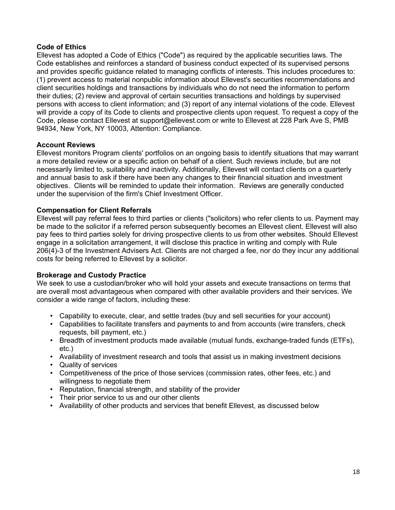#### **Code of Ethics**

Ellevest has adopted a Code of Ethics ("Code") as required by the applicable securities laws. The Code establishes and reinforces a standard of business conduct expected of its supervised persons and provides specific guidance related to managing conflicts of interests. This includes procedures to: (1) prevent access to material nonpublic information about Ellevest's securities recommendations and client securities holdings and transactions by individuals who do not need the information to perform their duties; (2) review and approval of certain securities transactions and holdings by supervised persons with access to client information; and (3) report of any internal violations of the code. Ellevest will provide a copy of its Code to clients and prospective clients upon request. To request a copy of the Code, please contact Ellevest at support@ellevest.com or write to Ellevest at 228 Park Ave S, PMB 94934, New York, NY 10003, Attention: Compliance.

#### **Account Reviews**

Ellevest monitors Program clients' portfolios on an ongoing basis to identify situations that may warrant a more detailed review or a specific action on behalf of a client. Such reviews include, but are not necessarily limited to, suitability and inactivity. Additionally, Ellevest will contact clients on a quarterly and annual basis to ask if there have been any changes to their financial situation and investment objectives. Clients will be reminded to update their information. Reviews are generally conducted under the supervision of the firm's Chief Investment Officer.

#### **Compensation for Client Referrals**

Ellevest will pay referral fees to third parties or clients ("solicitors) who refer clients to us. Payment may be made to the solicitor if a referred person subsequently becomes an Ellevest client. Ellevest will also pay fees to third parties solely for driving prospective clients to us from other websites. Should Ellevest engage in a solicitation arrangement, it will disclose this practice in writing and comply with Rule 206(4)-3 of the Investment Advisers Act. Clients are not charged a fee, nor do they incur any additional costs for being referred to Ellevest by a solicitor.

#### **Brokerage and Custody Practice**

We seek to use a custodian/broker who will hold your assets and execute transactions on terms that are overall most advantageous when compared with other available providers and their services. We consider a wide range of factors, including these:

- Capability to execute, clear, and settle trades (buy and sell securities for your account)
- Capabilities to facilitate transfers and payments to and from accounts (wire transfers, check requests, bill payment, etc.)
- Breadth of investment products made available (mutual funds, exchange-traded funds (ETFs), etc.)
- Availability of investment research and tools that assist us in making investment decisions
- Quality of services
- Competitiveness of the price of those services (commission rates, other fees, etc.) and willingness to negotiate them
- Reputation, financial strength, and stability of the provider
- Their prior service to us and our other clients
- Availability of other products and services that benefit Ellevest, as discussed below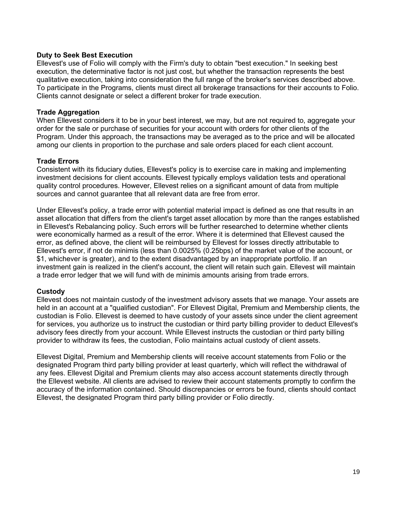#### **Duty to Seek Best Execution**

Ellevest's use of Folio will comply with the Firm's duty to obtain "best execution." In seeking best execution, the determinative factor is not just cost, but whether the transaction represents the best qualitative execution, taking into consideration the full range of the broker's services described above. To participate in the Programs, clients must direct all brokerage transactions for their accounts to Folio. Clients cannot designate or select a different broker for trade execution.

#### **Trade Aggregation**

When Ellevest considers it to be in your best interest, we may, but are not required to, aggregate your order for the sale or purchase of securities for your account with orders for other clients of the Program. Under this approach, the transactions may be averaged as to the price and will be allocated among our clients in proportion to the purchase and sale orders placed for each client account.

#### **Trade Errors**

Consistent with its fiduciary duties, Ellevest's policy is to exercise care in making and implementing investment decisions for client accounts. Ellevest typically employs validation tests and operational quality control procedures. However, Ellevest relies on a significant amount of data from multiple sources and cannot guarantee that all relevant data are free from error.

Under Ellevest's policy, a trade error with potential material impact is defined as one that results in an asset allocation that differs from the client's target asset allocation by more than the ranges established in Ellevest's Rebalancing policy. Such errors will be further researched to determine whether clients were economically harmed as a result of the error. Where it is determined that Ellevest caused the error, as defined above, the client will be reimbursed by Ellevest for losses directly attributable to Ellevest's error, if not de minimis (less than 0.0025% (0.25bps) of the market value of the account, or \$1, whichever is greater), and to the extent disadvantaged by an inappropriate portfolio. If an investment gain is realized in the client's account, the client will retain such gain. Ellevest will maintain a trade error ledger that we will fund with de minimis amounts arising from trade errors.

#### **Custody**

Ellevest does not maintain custody of the investment advisory assets that we manage. Your assets are held in an account at a "qualified custodian". For Ellevest Digital, Premium and Membership clients, the custodian is Folio. Ellevest is deemed to have custody of your assets since under the client agreement for services, you authorize us to instruct the custodian or third party billing provider to deduct Ellevest's advisory fees directly from your account. While Ellevest instructs the custodian or third party billing provider to withdraw its fees, the custodian, Folio maintains actual custody of client assets.

Ellevest Digital, Premium and Membership clients will receive account statements from Folio or the designated Program third party billing provider at least quarterly, which will reflect the withdrawal of any fees. Ellevest Digital and Premium clients may also access account statements directly through the Ellevest website. All clients are advised to review their account statements promptly to confirm the accuracy of the information contained. Should discrepancies or errors be found, clients should contact Ellevest, the designated Program third party billing provider or Folio directly.